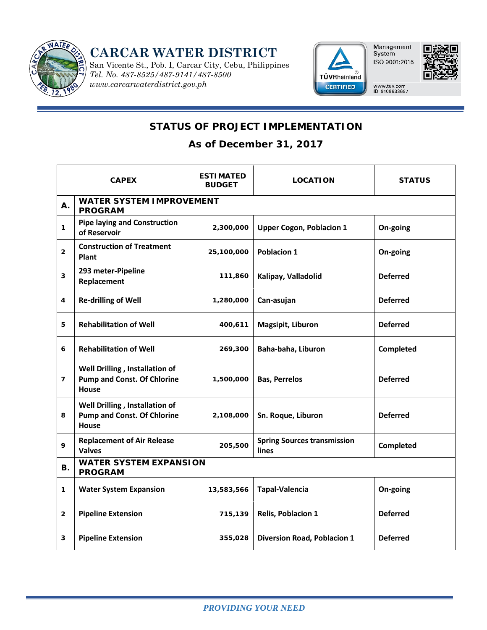

**CARCAR WATER DISTRICT**

San Vicente St., Pob. I, Carcar City, Cebu, Philippines *Tel. No. 487-8525/487-9141/487-8500 www.carcarwaterdistrict.gov.ph* 





www.tuv.com<br>ID 9108633697

## **STATUS OF PROJECT IMPLEMENTATION**

**As of December 31, 2017**

| <b>CAPEX</b>   |                                                                               | <b>ESTIMATED</b><br><b>BUDGET</b> | <b>LOCATION</b>                             | <b>STATUS</b>   |  |  |  |
|----------------|-------------------------------------------------------------------------------|-----------------------------------|---------------------------------------------|-----------------|--|--|--|
| Α.             | <b>WATER SYSTEM IMPROVEMENT</b><br><b>PROGRAM</b>                             |                                   |                                             |                 |  |  |  |
| 1              | <b>Pipe laying and Construction</b><br>of Reservoir                           | 2,300,000                         | <b>Upper Cogon, Poblacion 1</b>             | On-going        |  |  |  |
| $\overline{2}$ | <b>Construction of Treatment</b><br>Plant                                     | 25,100,000                        | <b>Poblacion 1</b>                          | On-going        |  |  |  |
| 3              | 293 meter-Pipeline<br>Replacement                                             | 111,860                           | Kalipay, Valladolid                         | <b>Deferred</b> |  |  |  |
| 4              | <b>Re-drilling of Well</b>                                                    | 1,280,000                         | Can-asujan                                  | <b>Deferred</b> |  |  |  |
| 5              | <b>Rehabilitation of Well</b>                                                 | 400,611                           | Magsipit, Liburon                           | <b>Deferred</b> |  |  |  |
| 6              | <b>Rehabilitation of Well</b>                                                 | 269,300                           | Baha-baha, Liburon                          | Completed       |  |  |  |
| $\overline{7}$ | Well Drilling, Installation of<br><b>Pump and Const. Of Chlorine</b><br>House | 1,500,000                         | <b>Bas, Perrelos</b>                        | <b>Deferred</b> |  |  |  |
| 8              | Well Drilling, Installation of<br><b>Pump and Const. Of Chlorine</b><br>House | 2,108,000                         | Sn. Roque, Liburon                          | <b>Deferred</b> |  |  |  |
| 9              | <b>Replacement of Air Release</b><br><b>Valves</b>                            | 205,500                           | <b>Spring Sources transmission</b><br>lines | Completed       |  |  |  |
| В.             | <b>WATER SYSTEM EXPANSION</b><br><b>PROGRAM</b>                               |                                   |                                             |                 |  |  |  |
| $\mathbf{1}$   | <b>Water System Expansion</b>                                                 | 13,583,566                        | Tapal-Valencia                              | On-going        |  |  |  |
| $\mathbf{2}$   | <b>Pipeline Extension</b>                                                     | 715,139                           | <b>Relis, Poblacion 1</b>                   | <b>Deferred</b> |  |  |  |
| 3              | <b>Pipeline Extension</b>                                                     | 355,028                           | <b>Diversion Road, Poblacion 1</b>          | <b>Deferred</b> |  |  |  |